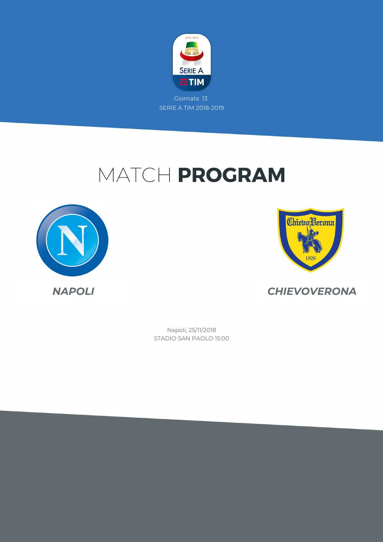

# MATCH PROGRAM





*NAPOLI CHIEVOVERONA*

STADIO SAN PAOLO 15:00 Napoli, 25/11/2018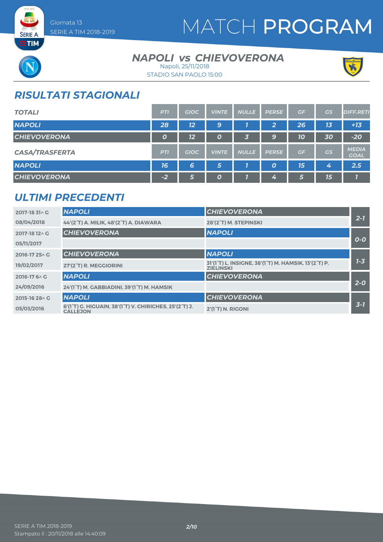

# MATCH PROGRAM



**SERIE A** 

### **NAPOLI vs CHIEVOVERONA** Napoli, 25/11/2018



STADIO SAN PAOLO 15:00

## *RISULTATI STAGIONALI*

| <b>TOTALI</b>         | <b>PTI</b>       | <b>GIOC</b> | <b>VINTE</b>     | <b>NULLE</b> | <b>PERSE</b>     | GF | <b>GS</b> | <b>DIFF.RETI</b>            |
|-----------------------|------------------|-------------|------------------|--------------|------------------|----|-----------|-----------------------------|
| <b>NAPOLI</b>         | 28               | 12          | 9                |              | 2                | 26 | 13        | $+13$                       |
| <b>CHIEVOVERONA</b>   | $\boldsymbol{o}$ | 12          | $\boldsymbol{0}$ | 3            | 9                | 10 | 30        | $-20$                       |
| <b>CASA/TRASFERTA</b> | <b>PTI</b>       | <b>GIOC</b> | <b>VINTE</b>     | <b>NULLE</b> | <b>PERSE</b>     | GF | GS        | <b>MEDIA</b><br><b>GOAL</b> |
| <b>NAPOLI</b>         | 16               | 6           | 5                |              | $\boldsymbol{o}$ | 15 | 4         | 2.5                         |
| <b>CHIEVOVERONA</b>   | $-2$             | 5           | $\boldsymbol{0}$ |              | 4                | 6  | 15        |                             |

### *ULTIMI PRECEDENTI*

| 2017-18 31 \ G | <b>NAPOLI</b>                                                                                                    | <b>CHIEVOVERONA</b>                                                                                             |         |
|----------------|------------------------------------------------------------------------------------------------------------------|-----------------------------------------------------------------------------------------------------------------|---------|
| 08/04/2018     | 44'(2°T) A. MILIK, 48'(2°T) A. DIAWARA                                                                           | 28'(2°T) M. STEPINSKI                                                                                           | $2 - 7$ |
| 2017-18 12 \ G | <b>CHIEVOVERONA</b>                                                                                              | <b>NAPOLI</b>                                                                                                   |         |
| 05/11/2017     |                                                                                                                  |                                                                                                                 | $O-O$   |
| 2016-17 25 \ G | <b>CHIEVOVERONA</b>                                                                                              | <b>NAPOLI</b>                                                                                                   |         |
| 19/02/2017     | 27'(2°T) R. MEGGIORINI                                                                                           | 31'(1 <sup>°</sup> T) L. INSIGNE, 38'(1 <sup>°</sup> T) M. HAMSIK, 13'(2 <sup>°</sup> T) P.<br><b>ZIELINSKI</b> | $1 - 3$ |
| 2016-17 6 \ C  | <b>NAPOLI</b>                                                                                                    | <b>CHIEVOVERONA</b>                                                                                             |         |
| 24/09/2016     | 24'(1°T) M. GABBIADINI, 39'(1°T) M. HAMSIK                                                                       |                                                                                                                 | $2 - 0$ |
| 2015-16 28 \ G | <b>NAPOLI</b>                                                                                                    | <b>CHIEVOVERONA</b>                                                                                             |         |
| 05/03/2016     | 6'(1 <sup>°</sup> T) G. HIGUAIN, 38'(1 <sup>°</sup> T) V. CHIRICHES, 25'(2 <sup>°</sup> T) J.<br><b>CALLEJON</b> | 2'(1°T) N. RIGONI                                                                                               | $3 - 7$ |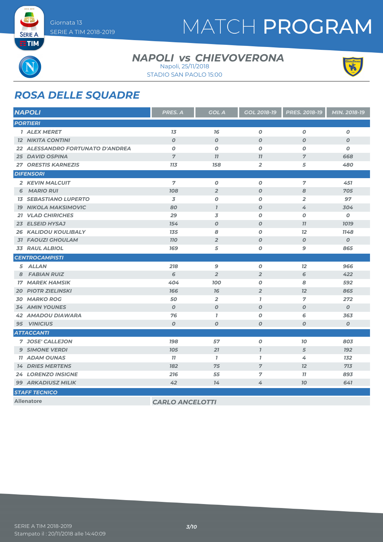

# MATCH PROGRAM

**SERIE A ETIM** 

### **NAPOLI vs CHIEVOVERONA** Napoli, 25/11/2018



STADIO SAN PAOLO 15:00

## *ROSA DELLE SQUADRE*

| <b>NAPOLI</b>                    | PRES. A                | <b>GOL A</b>     | GOL 2018-19      | PRES. 2018-19    | MIN. 2018-19     |
|----------------------------------|------------------------|------------------|------------------|------------------|------------------|
| <b>PORTIERI</b>                  |                        |                  |                  |                  |                  |
| <b>1 ALEX MERET</b>              | 13                     | 76               | $\boldsymbol{0}$ | $\boldsymbol{O}$ | $\boldsymbol{O}$ |
| <b>12 NIKITA CONTINI</b>         | $\boldsymbol{O}$       | $\boldsymbol{O}$ | $\boldsymbol{O}$ | $\boldsymbol{O}$ | $\boldsymbol{o}$ |
| 22 ALESSANDRO FORTUNATO D'ANDREA | $\boldsymbol{O}$       | $\boldsymbol{O}$ | $\boldsymbol{o}$ | $\boldsymbol{o}$ | $\boldsymbol{o}$ |
| <b>25 DAVID OSPINA</b>           | $\overline{7}$         | 77               | 11               | $\overline{7}$   | 668              |
| <b>27 ORESTIS KARNEZIS</b>       | 713                    | 158              | $\overline{2}$   | 5                | 480              |
| <b>DIFENSORI</b>                 |                        |                  |                  |                  |                  |
| 2 KEVIN MALCUIT                  | 7                      | $\boldsymbol{O}$ | $\boldsymbol{o}$ | $\overline{7}$   | 451              |
| <b>MARIO RUI</b><br>6            | <b>108</b>             | $\overline{2}$   | $\boldsymbol{O}$ | 8                | 705              |
| <b>13 SEBASTIANO LUPERTO</b>     | 3                      | $\boldsymbol{O}$ | $\boldsymbol{o}$ | $\overline{2}$   | 97               |
| <b>19 NIKOLA MAKSIMOVIC</b>      | 80                     | $\mathbf{I}$     | $\boldsymbol{O}$ | 4                | 304              |
| <b>21 VLAD CHIRICHES</b>         | 29                     | 3                | $\boldsymbol{O}$ | $\boldsymbol{0}$ | $\boldsymbol{o}$ |
| 23 ELSEID HYSAJ                  | 154                    | $\boldsymbol{O}$ | $\boldsymbol{O}$ | 77               | <b>1019</b>      |
| <b>26 KALIDOU KOULIBALY</b>      | 135                    | 8                | $\boldsymbol{O}$ | 12               | 1148             |
| <b>31 FAOUZI GHOULAM</b>         | <b>110</b>             | $\overline{2}$   | $\boldsymbol{O}$ | $\boldsymbol{O}$ | $\boldsymbol{O}$ |
| <b>33 RAUL ALBIOL</b>            | 169                    | 5                | $\boldsymbol{o}$ | 9                | 865              |
| <b>CENTROCAMPISTI</b>            |                        |                  |                  |                  |                  |
| 5 ALLAN                          | 218                    | 9                | $\boldsymbol{o}$ | 12               | 966              |
| <b>FABIAN RUIZ</b><br>8          | 6                      | $\overline{2}$   | $\overline{2}$   | 6                | 422              |
| <b>17 MAREK HAMSIK</b>           | 404                    | <b>100</b>       | $\boldsymbol{o}$ | 8                | 592              |
| <b>20 PIOTR ZIELINSKI</b>        | 166                    | 76               | $\overline{2}$   | 12               | 865              |
| <b>30 MARKO ROG</b>              | 50                     | $\overline{2}$   | $\overline{1}$   | $\overline{7}$   | 272              |
| <b>34 AMIN YOUNES</b>            | $\boldsymbol{O}$       | $\boldsymbol{O}$ | $\boldsymbol{O}$ | $\boldsymbol{O}$ | $\boldsymbol{O}$ |
| <b>42 AMADOU DIAWARA</b>         | 76                     | $\mathbf{7}$     | $\boldsymbol{0}$ | 6                | 363              |
| <b>95 VINICIUS</b>               | $\boldsymbol{O}$       | $\boldsymbol{O}$ | $\boldsymbol{0}$ | O                | $\boldsymbol{O}$ |
| <b>ATTACCANTI</b>                |                        |                  |                  |                  |                  |
| 7 JOSE' CALLEJON                 | <b>198</b>             | 57               | $\pmb{o}$        | 70               | 803              |
| <b>9 SIMONE VERDI</b>            | <b>105</b>             | 21               | $\overline{I}$   | 5                | <b>192</b>       |
| <b>11 ADAM OUNAS</b>             | 11                     | $\mathbf{7}$     | $\overline{1}$   | 4                | 132              |
| <b>14 DRIES MERTENS</b>          | 182                    | 75               | $\overline{7}$   | 12               | 713              |
| <b>24 LORENZO INSIGNE</b>        | 216                    | 55               | 7                | 77               | 893              |
| <b>99 ARKADIUSZ MILIK</b>        | 42                     | 14               | 4                | <b>70</b>        | 641              |
| <b>STAFF TECNICO</b>             |                        |                  |                  |                  |                  |
| <b>Allenatore</b>                | <b>CARLO ANCELOTTI</b> |                  |                  |                  |                  |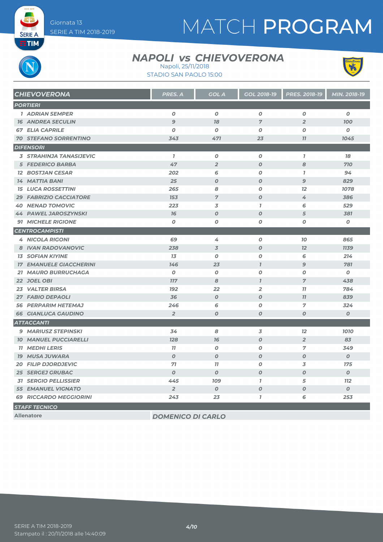# MATCH PROGRAM

**SERIE A EETIM** 

### **NAPOLI vs CHIEVOVERONA**





| <b>CHIEVOVERONA</b>            | <b>PRES. A</b>   | <b>GOL A</b>     | <b>GOL 2018-19</b> | <b>PRES. 2018-19</b> | MIN. 2018-19     |
|--------------------------------|------------------|------------------|--------------------|----------------------|------------------|
| <b>PORTIERI</b>                |                  |                  |                    |                      |                  |
| <b>1 ADRIAN SEMPER</b>         | $\boldsymbol{o}$ | $\boldsymbol{o}$ | $\boldsymbol{o}$   | $\boldsymbol{0}$     | $\boldsymbol{o}$ |
| <b>16 ANDREA SECULIN</b>       | $\overline{9}$   | 78               | $\overline{7}$     | $\overline{2}$       | 700              |
| <b>67 ELIA CAPRILE</b>         | $\boldsymbol{o}$ | $\boldsymbol{o}$ | $\boldsymbol{o}$   | $\boldsymbol{0}$     | $\boldsymbol{o}$ |
| <b>70 STEFANO SORRENTINO</b>   | 343              | 471              | 23                 | 77                   | 1045             |
| <b>DIFENSORI</b>               |                  |                  |                    |                      |                  |
| <b>3 STRAHINJA TANASIJEVIC</b> | $\mathbf{7}$     | $\boldsymbol{o}$ | $\boldsymbol{o}$   | $\mathbf{7}$         | 18               |
| <b>5 FEDERICO BARBA</b>        | 47               | $\overline{2}$   | $\boldsymbol{O}$   | 8                    | 710              |
| <b>12 BOSTJAN CESAR</b>        | 202              | 6                | 0                  | $\overline{1}$       | 94               |
| <b>14 MATTIA BANI</b>          | 25               | $\boldsymbol{O}$ | $\boldsymbol{O}$   | $\mathbf{9}$         | 829              |
| <b>15 LUCA ROSSETTINI</b>      | 265              | 8                | 0                  | 12 <sup>2</sup>      | 1078             |
| <b>29 FABRIZIO CACCIATORE</b>  | 153              | $\overline{7}$   | $\boldsymbol{O}$   | 4                    | 386              |
| <b>40 NENAD TOMOVIC</b>        | 223              | 3                | $\mathbf{7}$       | 6                    | 529              |
| <b>44 PAWEL JAROSZYNSKI</b>    | 76               | $\boldsymbol{O}$ | $\boldsymbol{O}$   | 5                    | 381              |
| <b>91 MICHELE RIGIONE</b>      | $\boldsymbol{o}$ | $\boldsymbol{o}$ | 0                  | $\boldsymbol{o}$     | 0                |
| <b>CENTROCAMPISTI</b>          |                  |                  |                    |                      |                  |
| <b>4 NICOLA RIGONI</b>         | 69               | 4                | $\boldsymbol{O}$   | 70                   | 865              |
| 8 IVAN RADOVANOVIC             | 238              | $\overline{3}$   | $\boldsymbol{O}$   | 12                   | <b>1139</b>      |
| <b>13 SOFIAN KIYINE</b>        | 13               | $\boldsymbol{o}$ | $\boldsymbol{0}$   | 6                    | 214              |
| <b>17 EMANUELE GIACCHERINI</b> | 146              | 23               | $\mathcal{I}$      | $\overline{9}$       | 781              |
| 21 MAURO BURRUCHAGA            | $\boldsymbol{0}$ | $\boldsymbol{0}$ | $\boldsymbol{O}$   | $\boldsymbol{0}$     | $\boldsymbol{0}$ |
| 22 JOEL OBI                    | <b>117</b>       | 8                | $\mathbf{I}$       | $\overline{7}$       | 438              |
| <b>23 VALTER BIRSA</b>         | <b>192</b>       | 22               | $\overline{2}$     | 11                   | 784              |
| <b>27 FABIO DEPAOLI</b>        | 36               | $\boldsymbol{O}$ | $\boldsymbol{O}$   | 11                   | 839              |
| <b>56 PERPARIM HETEMAJ</b>     | 246              | 6                | 0                  | 7                    | 324              |
| <b>66 GIANLUCA GAUDINO</b>     | $\overline{2}$   | $\boldsymbol{0}$ | $\boldsymbol{O}$   | 0                    | $\boldsymbol{O}$ |
| <b>ATTACCANTI</b>              |                  |                  |                    |                      |                  |
| <b>9 MARIUSZ STEPINSKI</b>     | 34               | 8                | 3                  | 12                   | 1010             |
| <b>10 MANUEL PUCCIARELLI</b>   | 128              | 76               | $\boldsymbol{O}$   | $\overline{2}$       | 83               |
| <b>11 MEDHI LERIS</b>          | 11               | $\boldsymbol{o}$ | $\boldsymbol{o}$   | $\overline{7}$       | 349              |
| <b>19 MUSA JUWARA</b>          | $\boldsymbol{O}$ | $\boldsymbol{O}$ | $\boldsymbol{O}$   | $\boldsymbol{O}$     | $\boldsymbol{0}$ |
| <b>20 FILIP DJORDJEVIC</b>     | 71               | 77               | 0                  | 3                    | 175              |
| <b>25 SERGEJ GRUBAC</b>        | $\boldsymbol{0}$ | $\boldsymbol{0}$ | $\boldsymbol{O}$   | $\boldsymbol{O}$     | $\boldsymbol{0}$ |
| <b>31 SERGIO PELLISSIER</b>    | 445              | <b>109</b>       | $\mathbf{I}$       | 5                    | 112              |
| <b>55 EMANUEL VIGNATO</b>      | $\overline{2}$   | $\boldsymbol{O}$ | $\boldsymbol{O}$   | $\boldsymbol{O}$     | $\boldsymbol{0}$ |
| <b>69 RICCARDO MEGGIORINI</b>  | 243              | 23               | $\overline{1}$     | 6                    | 253              |
| <b>STAFF TECNICO</b>           |                  |                  |                    |                      |                  |

**Allenatore** *DOMENICO DI CARLO*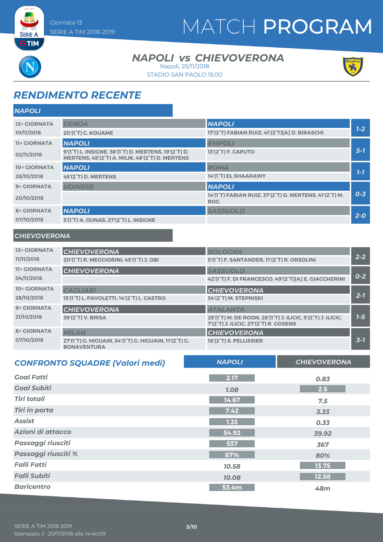# MATCH PROGRAM

**SERIE A ETIM** 

### **NAPOLI vs CHIEVOVERONA** Napoli, 25/11/2018

STADIO SAN PAOLO 15:00



# *RENDIMENTO RECENTE*

| <b>NAPOLI</b>       |                                                                                                                                                |                                                                      |         |
|---------------------|------------------------------------------------------------------------------------------------------------------------------------------------|----------------------------------------------------------------------|---------|
| 12^ GIORNATA        | <b>GENOA</b>                                                                                                                                   | <b>NAPOLI</b>                                                        |         |
| 10/11/2018          | 20'(1 <sup>°</sup> T) C. KOUAME                                                                                                                | 17'(2°T) FABIAN RUIZ, 41'(2°T)[A] D. BIRASCHI                        | $1 - 2$ |
| <b>11^ GIORNATA</b> | <b>NAPOLI</b>                                                                                                                                  | <b>EMPOLI</b>                                                        |         |
| 02/11/2018          | 9'(1 <sup>°</sup> T) L. INSIGNE, 38'(1 <sup>°</sup> T) D. MERTENS, 19'(2 <sup>°</sup> T) D.<br>MERTENS, 45'(2°T) A. MILIK, 48'(2°T) D. MERTENS | 13'(2 <sup>°</sup> T) F. CAPUTO                                      | $5 - 1$ |
| 10^ GIORNATA        | <b>NAPOLI</b>                                                                                                                                  | <b>ROMA</b>                                                          |         |
| 28/10/2018          | 45'(2°T) D. MERTENS                                                                                                                            | 14'(1°T) EL SHAARAWY                                                 | $1 - 7$ |
| 9^ GIORNATA         | <b>UDINESE</b>                                                                                                                                 | <b>NAPOLI</b>                                                        |         |
| 20/10/2018          |                                                                                                                                                | 14'(1°T) FABIAN RUIZ, 37'(2°T) D. MERTENS, 41'(2°T) M.<br><b>ROG</b> | $0 - 3$ |
| <b>8^ GIORNATA</b>  | <b>NAPOLI</b>                                                                                                                                  | <b>SASSUOLO</b>                                                      |         |
| 07/10/2018          | 3'(1°T) A. OUNAS, 27'(2°T) L. INSIGNE                                                                                                          |                                                                      | $2 - 0$ |

#### *CHIEVOVERONA*

| 12^ GIORNATA<br>11/11/2018        | <b>CHIEVOVERONA</b><br>20'(1 <sup>°</sup> T) R. MEGGIORINI, 45'(1 <sup>°</sup> T) J. OBI    | <b>BOLOGNA</b><br>5'(1°T) F. SANTANDER, 11'(2°T) R. ORSOLINI                                                                                      | $2 - 2$ |
|-----------------------------------|---------------------------------------------------------------------------------------------|---------------------------------------------------------------------------------------------------------------------------------------------------|---------|
| <b>11^ GIORNATA</b><br>04/11/2018 | <b>CHIEVOVERONA</b>                                                                         | <b>SASSUOLO</b><br>42'(1°T) F. DI FRANCESCO, 49'(2°T)[A] E. GIACCHERINI                                                                           | $0 - 2$ |
| 10^ GIORNATA<br>28/10/2018        | <b>CAGLIARI</b><br>15'(1°T) L. PAVOLETTI, 14'(2°T) L. CASTRO                                | <b>CHIEVOVERONA</b><br>34'(2°T) M. STEPINSKI                                                                                                      | $2 - 7$ |
| 9^ GIORNATA<br>21/10/2018         | <b>CHIEVOVERONA</b><br>39'(2°T) V. BIRSA                                                    | <b>ATALANTA</b><br>25'(1°T) M. DE ROON, 28'(1°T) J. ILICIC, 5'(2°T) J. ILICIC,<br>7'(2 <sup>°</sup> T) J. ILICIC, 27'(2 <sup>°</sup> T) R. GOSENS | $1-5$   |
| <b>8^ GIORNATA</b><br>07/10/2018  | <b>MILAN</b><br>27'(1°T) G. HIGUAIN, 34'(1°T) G. HIGUAIN, 11'(2°T) G.<br><b>BONAVENTURA</b> | <b>CHIEVOVERONA</b><br>18'(2 <sup>°</sup> T) S. PELLISSIER                                                                                        | $3 - 7$ |

| <b>CONFRONTO SQUADRE (Valori medi)</b> | <b>NAPOLI</b> | <b>CHIEVOVERONA</b> |
|----------------------------------------|---------------|---------------------|
| <b>Goal Fatti</b>                      | 2.17          | 0.83                |
| <b>Goal Subiti</b>                     | <b>1.08</b>   | 2.5                 |
| <b>Tiri totali</b>                     | 14.67         | 7.5                 |
| <b>Tiri in porta</b>                   | 7.42          | 3.33                |
| <b>Assist</b>                          | 1.33          | 0.33                |
| Azioni di attacco                      | 54.92         | 39.92               |
| Passaggi riusciti                      | 537           | 367                 |
| Passaggi riusciti %                    | 87%           | 80%                 |
| <b>Falli Fatti</b>                     | 10.58         | 13.75               |
| <b>Falli Subiti</b>                    | 10.08         | 12.58               |
| <b>Baricentro</b>                      | 53.4m         | 48m                 |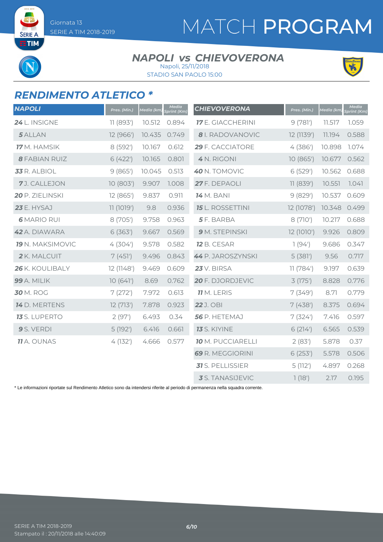SERIE A **ETIM** 

# MATCH PROGRAM

#### **NAPOLI vs CHIEVOVERONA** Napoli, 25/11/2018



STADIO SAN PAOLO 15:00



### *RENDIMENTO ATLETICO \**

| <b>NAPOLI</b>           | Pres. (Min.) | Media (km) | Media<br><b>Sprint</b> (Km) | <b>CHIEVOVERONA</b>      | Pres. (Min.) | Media (km) | <b>Media</b><br>Sprint (Km) |
|-------------------------|--------------|------------|-----------------------------|--------------------------|--------------|------------|-----------------------------|
| 24 L. INSIGNE           | 11 (893')    | 10.512     | 0.894                       | <b>17</b> E. GIACCHERINI | 9(781)       | 11.517     | 1.059                       |
| 5 ALLAN                 | 12 (966')    | 10.435     | 0.749                       | <b>8</b> I. RADOVANOVIC  | 12 (1139')   | 11.194     | 0.588                       |
| <b>17</b> M. HAMSIK     | 8 (592')     | 10.167     | 0.612                       | 29 F. CACCIATORE         | 4(386)       | 10.898     | 1.074                       |
| <b>8 FABIAN RUIZ</b>    | 6(422)       | 10.165     | 0.801                       | 4 N. RIGONI              | 10(865)      | 10.677     | 0.562                       |
| 33 R. ALBIOL            | 9(865)       | 10.045     | 0.513                       | 40 N. TOMOVIC            | 6 (529')     | 10.562     | 0.688                       |
| 7J. CALLEJON            | 10 (803')    | 9.907      | 1.008                       | 27 F. DEPAOLI            | 11 (839')    | 10.551     | 7.041                       |
| 20 P. ZIELINSKI         | 12 (865')    | 9.837      | 0.911                       | <b>14</b> M. BANI        | 9(829)       | 10.537     | 0.609                       |
| <b>23</b> E. HYSAJ      | 11 (1019')   | 9.8        | 0.936                       | <b>15</b> L. ROSSETTINI  | 12 (1078')   | 10.348     | 0.499                       |
| <b>6 MARIO RUI</b>      | 8 (705')     | 9.758      | 0.963                       | 5F. BARBA                | 8 (710')     | 10.217     | 0.688                       |
| 42 A. DIAWARA           | 6(363)       | 9.667      | 0.569                       | 9 M. STEPINSKI           | 12 (1010')   | 9.926      | 0.809                       |
| <b>19</b> N. MAKSIMOVIC | 4(304)       | 9.578      | 0.582                       | <b>12</b> B. CESAR       | 1(94)        | 9.686      | 0.347                       |
| 2 K. MALCUIT            | 7(451)       | 9.496      | 0.843                       | 44 P. JAROSZYNSKI        | 5(381)       | 9.56       | 0.717                       |
| 26 K. KOULIBALY         | 12 (1148')   | 9.469      | 0.609                       | <b>23</b> V. BIRSA       | 11(784)      | 9.197      | 0.639                       |
| 99 A. MILIK             | 10(641)      | 8.69       | 0.762                       | 20 F. DJORDJEVIC         | 3(175)       | 8.828      | 0.776                       |
| <b>30 M. ROG</b>        | 7(272)       | 7.972      | 0.613                       | <b>11</b> M. LERIS       | 7(349)       | 8.71       | 0.779                       |
| 14 D. MERTENS           | 12(713)      | 7.878      | 0.923                       | <b>22</b> J. OBI         | 7(438)       | 8.375      | 0.694                       |
| <b>13</b> S. LUPERTO    | 2(97)        | 6.493      | 0.34                        | 56 P. HETEMAJ            | 7(324)       | 7.416      | 0.597                       |
| 9 S. VERDI              | 5(192)       | 6.416      | 0.661                       | <b>13</b> S. KIYINE      | 6(214)       | 6.565      | 0.539                       |
| <b>11</b> A. OUNAS      | 4(132)       | 4.666      | 0.577                       | <b>10</b> M. PUCCIARELLI | 2(83)        | 5.878      | 0.37                        |
|                         |              |            |                             | 69 R. MEGGIORINI         | 6(253)       | 5.578      | 0.506                       |
|                         |              |            |                             | 31 S. PELLISSIER         | 5(112)       | 4.897      | 0.268                       |
|                         |              |            |                             | 3 S. TANASIJEVIC         | 1(18')       | 2.17       | 0.195                       |

\* Le informazioni riportate sul Rendimento Atletico sono da intendersi riferite al periodo di permanenza nella squadra corrente.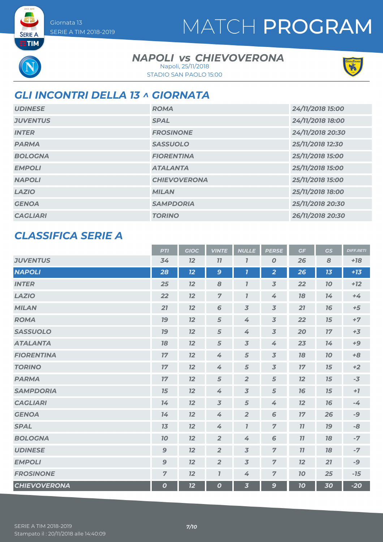# MATCH PROGRAM

**SERIE A ETIM** 

### **NAPOLI vs CHIEVOVERONA** Napoli, 25/11/2018

STADIO SAN PAOLO 15:00



## *GLI INCONTRI DELLA 13 ^ GIORNATA*

| <b>UDINESE</b>  | <b>ROMA</b>         | 24/11/2018 15:00 |
|-----------------|---------------------|------------------|
| <b>JUVENTUS</b> | <b>SPAL</b>         | 24/11/2018 18:00 |
| <b>INTER</b>    | <b>FROSINONE</b>    | 24/11/2018 20:30 |
| <b>PARMA</b>    | <b>SASSUOLO</b>     | 25/11/2018 12:30 |
| <b>BOLOGNA</b>  | <b>FIORENTINA</b>   | 25/11/2018 15:00 |
| <b>EMPOLI</b>   | <b>ATALANTA</b>     | 25/11/2018 15:00 |
| <b>NAPOLI</b>   | <b>CHIEVOVERONA</b> | 25/11/2018 15:00 |
| <b>LAZIO</b>    | <b>MILAN</b>        | 25/11/2018 18:00 |
| <b>GENOA</b>    | <b>SAMPDORIA</b>    | 25/11/2018 20:30 |
| <b>CAGLIARI</b> | <b>TORINO</b>       | 26/11/2018 20:30 |

### *CLASSIFICA SERIE A*

|                     | <b>PTI</b>       | <b>GIOC</b> | <b>VINTE</b>        | <b>NULLE</b>            | <b>PERSE</b>            | GF | GS        | <b>DIFF.RETI</b> |
|---------------------|------------------|-------------|---------------------|-------------------------|-------------------------|----|-----------|------------------|
| <b>JUVENTUS</b>     | 34               | 12          | 11                  | 7                       | O                       | 26 | 8         | $+18$            |
| <b>NAPOLI</b>       | 28               | 12          | 9                   | $\mathbf{7}$            | $\overline{2}$          | 26 | 13        | $+13$            |
| <b>INTER</b>        | 25               | 12          | 8                   | $\overline{I}$          | $\overline{3}$          | 22 | 10        | $+12$            |
| <b>LAZIO</b>        | 22               | 12          | $\overline{7}$      | $\overline{1}$          | 4                       | 18 | 14        | $+4$             |
| <b>MILAN</b>        | 21               | 12          | $6\phantom{1}$      | $\overline{3}$          | $\overline{\mathbf{3}}$ | 21 | 76        | $+5$             |
| <b>ROMA</b>         | 19               | 12          | 5                   | 4                       | $\overline{3}$          | 22 | 15        | $+7$             |
| <b>SASSUOLO</b>     | 19               | 12          | 5                   | 4                       | $\overline{3}$          | 20 | 17        | $+3$             |
| <b>ATALANTA</b>     | 18               | 12          | 5                   | $\overline{3}$          | 4                       | 23 | 14        | $+9$             |
| <b>FIORENTINA</b>   | 17               | 12          | 4                   | 5                       | $\overline{3}$          | 18 | <b>10</b> | $+8$             |
| <b>TORINO</b>       | 17               | 12          | 4                   | 5                       | $\overline{3}$          | 17 | 15        | $+2$             |
| <b>PARMA</b>        | 17               | 12          | 5                   | $\overline{2}$          | 5                       | 12 | 15        | $-3$             |
| <b>SAMPDORIA</b>    | 15               | 12          | 4                   | $\overline{3}$          | 5                       | 76 | 15        | $+7$             |
| <b>CAGLIARI</b>     | 14               | 12          | $\overline{3}$      | $\sqrt{5}$              | 4                       | 12 | 16        | $-4$             |
| <b>GENOA</b>        | 14               | 12          | 4                   | $\overline{2}$          | 6                       | 17 | 26        | -9               |
| <b>SPAL</b>         | 13               | 12          | 4                   | $\mathbf{7}$            | $\overline{z}$          | 11 | 79        | -8               |
| <b>BOLOGNA</b>      | 10               | 12          | $\overline{2}$      | 4                       | 6                       | 11 | 18        | $-7$             |
| <b>UDINESE</b>      | $\mathbf{9}$     | 12          | $\overline{2}$      | $\overline{3}$          | $\overline{z}$          | 11 | 18        | $-7$             |
| <b>EMPOLI</b>       | $\boldsymbol{9}$ | 12          | $\overline{2}$      | $\overline{3}$          | $\overline{z}$          | 12 | 21        | $-9$             |
| <b>FROSINONE</b>    | $\overline{7}$   | 12          | $\boldsymbol{\eta}$ | 4                       | $\overline{7}$          | 10 | 25        | $-15$            |
| <b>CHIEVOVERONA</b> | $\boldsymbol{o}$ | 12          | 0                   | $\overline{\mathbf{3}}$ | $\mathbf{9}$            | 70 | 30        | $-20$            |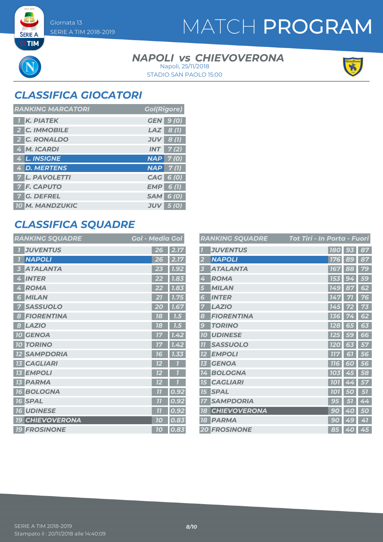**SERIE A**  $ETIM$ 

# MATCH PROGRAM

#### **NAPOLI vs CHIEVOVERONA** STADIO SAN PAOLO 15:00 Napoli, 25/11/2018



## *CLASSIFICA GIOCATORI*

| <b>RANKING MARCATORI</b> | <b>Gol(Rigore)</b>  |
|--------------------------|---------------------|
| <b>K. PIATEK</b>         | <b>GEN</b> 9 (0)    |
| 2 C. IMMOBILE            | $LAZ$ 8(1)          |
| 2 C. RONALDO             | $JUV$ 8 (1)         |
| 4 M. ICARDI              | $INT$ 7(2)          |
| 4 L. INSIGNE             | $NAP$ 7(0)          |
| 4 D. MERTENS             | $NAP$ 7(1)          |
| <b>7 L. PAVOLETTI</b>    | CAG 6 (0)           |
| <b>7 F. CAPUTO</b>       | EMP<br>6 (1)        |
| <b>7 G. DEFREL</b>       | $SAM$ 6 (0)         |
| <b>10 M. MANDZUKIC</b>   | <b>JUV</b><br>5 (O) |

### *CLASSIFICA SQUADRE*

| <b>RANKING SQUADRE</b>     | <b>Gol - Media Gol</b> |
|----------------------------|------------------------|
| <b>JUVENTUS</b>            | 2.17<br>26             |
| <b>NAPOLI</b>              | 2.17                   |
| 7                          | 26                     |
| <b>ATALANTA</b>            | 1.92                   |
| 3                          | 23                     |
| <b>INTER</b>               | 1.83                   |
| $\overline{\mathcal{L}}$   | 22                     |
| <b>ROMA</b>                | 7.83                   |
| 4                          | 22                     |
| <b>MILAN</b><br>6          | 1.75                   |
| <b>SASSUOLO</b>            | 1.67<br>O              |
| <b>FIORENTINA</b>          | 18                     |
| 8                          | 1.5                    |
| <b>LAZIO</b>               | 7.5                    |
| 8                          | 18                     |
| <b>10 GENOA</b>            | 1.42<br>17             |
| <b>10 TORINO</b>           | 1.42<br>17             |
| <b>SAMPDORIA</b>           | 1.33                   |
| $12 \overline{ }$          | 16                     |
| <b>CAGLIARI</b>            | 12                     |
| <b>EMPOLI</b><br><b>13</b> | 12                     |
| <b>PARMA</b><br><b>13</b>  | 12                     |
| <b>BOLOGNA</b>             | 0.92                   |
| <b>16</b>                  | 7 <sup>7</sup>         |
| <b>SPAL</b>                | $\overline{1}$         |
| <b>16</b>                  | 0.92                   |
| <b>UDINESE</b>             | 0.92                   |
| <b>16</b>                  | $\overline{11}$        |
| <b>CHIEVOVERONA</b>        | 0.83                   |
| <b>19</b>                  | 10                     |
| <b>19 FROSINONE</b>        | 0.83<br>10             |

|                         | <b>RANKING SQUADRE</b> | <u> Tot Tiri - In Porta - Fuori</u> |                |    |
|-------------------------|------------------------|-------------------------------------|----------------|----|
|                         | <b>JUVENTUS</b>        | <b>180</b>                          | 93             | 87 |
| 2                       | <b>NAPOLI</b>          | 176                                 | 89             | 87 |
| 3                       | <b>ATALANTA</b>        | 167                                 | 88             | 79 |
| 4                       | <b>ROMA</b>            | 153                                 | 94             | 59 |
| 5                       | <b>MILAN</b>           | <b>149</b>                          | 87             | 62 |
| 6                       | <b>INTER</b>           | 147                                 | 71             | 76 |
| 7                       | <b>LAZIO</b>           | 145                                 |                | 73 |
| 8                       | <b>FIORENTINA</b>      | 136                                 | 4              | 62 |
| 9                       | <b>TORINO</b>          | <b>128</b>                          | 65             | 63 |
| <b>10</b>               | <b>UDINESE</b>         | <b>125</b>                          | 59             | 66 |
| $\overline{\mathbf{u}}$ | <b>SASSUOLO</b>        | 120                                 | 63             | 57 |
| 12                      | <b>EMPOLI</b>          | לוו                                 | 61             | 56 |
| 13                      | <b>GENOA</b>           | <b>116</b>                          | 60             | 56 |
| 14                      | <b>BOLOGNA</b>         | 103                                 | 45             | 58 |
| 75                      | <b>CAGLIARI</b>        | <b>101</b>                          | 4<br>4         | 57 |
| 15                      | <b>SPAL</b>            | <b>101</b>                          | 51<br>$\omega$ | 57 |
| 17                      | <b>SAMPDORIA</b>       | 95                                  |                | 44 |
| 18                      | <b>CHIEVOVERONA</b>    | 90                                  | 40             | 50 |
| <b>18</b>               | <b>PARMA</b>           | 90                                  | 49             | 41 |
|                         | <b>20 FROSINONE</b>    | 85                                  | 40             | 45 |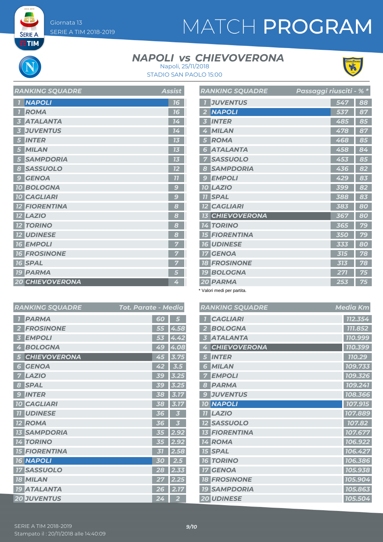**SERIE A EETIM** 

# MATCH PROGRAM

### **NAPOLI vs CHIEVOVERONA**



STADIO SAN PAOLO 15:00 Napoli, 25/11/2018

| <b>RANKING SQUADRE</b> | Assist       |
|------------------------|--------------|
| <b>NAPOLI</b>          | 16           |
| <b>ROMA</b>            | 16           |
| <b>ATALANTA</b>        | 14           |
| <b>JUVENTUS</b>        | 14           |
| <b>INTER</b>           | 15           |
| <b>MILAN</b>           |              |
| <b>SAMPDORIA</b>       | TE.          |
| <b>SASSUOLO</b><br>8   | 12           |
| <b>GENOA</b><br>9      | 77           |
| <b>10 BOLOGNA</b>      | $\mathbf{C}$ |
| <b>10 CAGLIARI</b>     | g            |
| <b>12 FIORENTINA</b>   | 8            |
| <b>12 LAZIO</b>        | 8            |
| <b>12 TORINO</b>       | 8            |
| <b>12 UDINESE</b>      | 8            |
| <b>16 EMPOLI</b>       |              |
| <b>16 FROSINONE</b>    |              |
| <b>16 SPAL</b>         |              |
| <b>19 PARMA</b>        | 5            |
| <b>20 CHIEVOVERONA</b> | 4            |

|                         | <b>RANKING SQUADRE</b> | <u> Passaggi riusciti - % *</u> |     |    |
|-------------------------|------------------------|---------------------------------|-----|----|
| $\overline{1}$          | <b>JUVENTUS</b>        |                                 | 547 | 88 |
| $\overline{2}$          | <b>NAPOLI</b>          |                                 | 537 | 87 |
| $\overline{\mathbf{3}}$ | <b>INTER</b>           |                                 | 485 | 85 |
| 4                       | <b>MILAN</b>           |                                 | 478 | 87 |
| 5                       | <b>ROMA</b>            |                                 | 468 | 85 |
| 6                       | <b>ATALANTA</b>        |                                 | 458 | 84 |
| 7                       | <b>SASSUOLO</b>        |                                 | 453 | 85 |
| 8                       | <b>SAMPDORIA</b>       |                                 | 436 | 82 |
| $\mathcal{G}$           | <b>EMPOLI</b>          |                                 | 429 | 83 |
|                         | <b>10 LAZIO</b>        |                                 | 399 | 82 |
|                         | <b>TI SPAL</b>         |                                 | 388 | 83 |
|                         | <b>12 CAGLIARI</b>     |                                 | 383 | 80 |
|                         | <b>13 CHIEVOVERONA</b> |                                 | 367 | 80 |
|                         | <b>14 TORINO</b>       |                                 | 365 | 79 |
|                         | <b>15 FIORENTINA</b>   |                                 | 350 | 79 |
|                         | <b>16 UDINESE</b>      |                                 | 333 | 80 |
| 17 <sup>1</sup>         | <b>GENOA</b>           |                                 | 315 | 78 |
|                         | <b>18 FROSINONE</b>    |                                 | 313 | 78 |
|                         | <b>19 BOLOGNA</b>      |                                 | 271 | 75 |
|                         | 20 PARMA               |                                 | 253 | 75 |

\* Valori medi per partita.

|                         | <b>RANKING SQUADRE</b> | Tot. Parate - Media |                   | <b>RANKI</b>            |
|-------------------------|------------------------|---------------------|-------------------|-------------------------|
| $\overline{I}$          | <b>PARMA</b>           | 60                  | 5                 | CA                      |
| $\overline{2}$          | <b>FROSINONE</b>       | 55                  | 4.58              | <b>BO</b>               |
| $\overline{\mathbf{3}}$ | <b>EMPOLI</b>          | 53                  | 4.42              | AT<br>3                 |
| 4                       | <b>BOLOGNA</b>         | 49                  | 4.08              | CH<br>4                 |
| 5                       | <b>CHIEVOVERONA</b>    | 45                  | 3.75              | IN <sub>7</sub><br>5    |
| $6\phantom{1}6$         | <b>GENOA</b>           | 42                  | 3.5               | <b>MIL</b><br>ð         |
| 7                       | <b>LAZIO</b>           | 5C                  | 3.25              | <b>EM</b>               |
| 8                       | <b>SPAL</b>            | 39                  | 3.25              | PA.<br>8                |
| 9                       | <b>INTER</b>           | 38                  | 3.17              | <b>JU</b><br>9          |
|                         | <b>10 CAGLIARI</b>     | 38                  | 3.17              | <b>NA</b><br><b>10</b>  |
|                         | <b>11 UDINESE</b>      | 36                  | 3                 | LA<br>11                |
|                         | <b>12 ROMA</b>         | 36                  | 3                 | SA:<br>12               |
|                         | <b>13 SAMPDORIA</b>    | 35                  | 2.92              | <b>FIC</b><br>13        |
|                         | <b>14 TORINO</b>       | 35                  | 2.92              | <b>RO</b><br>14         |
|                         | <b>15 FIORENTINA</b>   | 31                  | 2.58              | <b>15 SP</b>            |
|                         | <b>16 NAPOLI</b>       | 30                  | 2.5               | TO<br>16                |
|                         | <b>17 SASSUOLO</b>     | 28                  | 2.33              | <b>GE</b><br>$17\,$     |
|                         | <b>18 MILAN</b>        | 27                  | $2.\overline{25}$ | <b>FR</b><br>18         |
|                         | <b>19 ATALANTA</b>     | 26                  | 2.17              | <b>SAI</b><br><b>19</b> |
|                         | <b>20 JUVENTUS</b>     | 24                  | $\overline{2}$    | <b>20 UD</b>            |

|                         | RANKING SQUADRE     | <b>Media Km</b> |
|-------------------------|---------------------|-----------------|
|                         | <b>CAGLIARI</b>     | 112.354         |
| $\overline{2}$          | <b>BOLOGNA</b>      | 111.852         |
| $\overline{\mathbf{3}}$ | <b>ATALANTA</b>     | 110.999         |
| 4                       | <b>CHIEVOVERONA</b> | 110.399         |
| 5                       | <b>INTER</b>        | 110.29          |
| 6                       | <b>MILAN</b>        | 109.733         |
| 7                       | <b>EMPOLI</b>       | 109.326         |
| 8                       | <b>PARMA</b>        | 109.241         |
| 9                       | <b>JUVENTUS</b>     | 108.366         |
| 10                      | <b>NAPOLI</b>       | 107.915         |
| 77                      | <b>LAZIO</b>        | 107.889         |
| 12 <sub>2</sub>         | <b>SASSUOLO</b>     | 107.82          |
| 13 <sup>7</sup>         | <b>FIORENTINA</b>   | 107.677         |
|                         | 14 ROMA             | 106.922         |
|                         | <b>15 SPAL</b>      | 106.427         |
| 16                      | <b>TORINO</b>       | 106.386         |
| $\overline{17}$         | <b>GENOA</b>        | 105.938         |
|                         | <b>18 FROSINONE</b> | 105.904         |
|                         | <b>19 SAMPDORIA</b> | 105.863         |
|                         | <b>20 UDINESE</b>   | 105.504         |